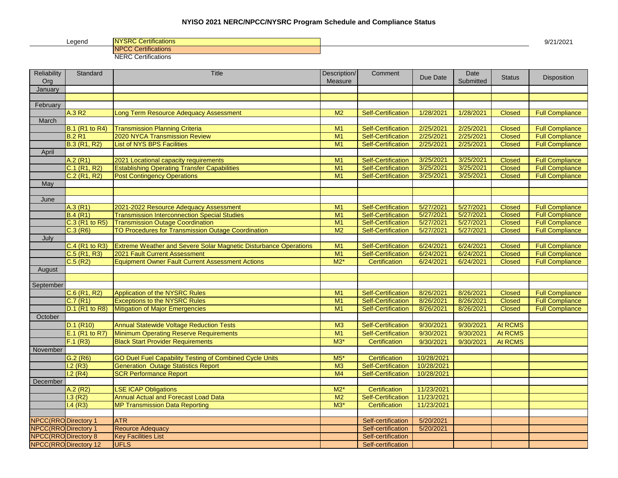## **NYISO 2021 NERC/NPCC/NYSRC Program Schedule and Compliance Status**

Legend NYSRC Certifications 9/21/2021 NPCC Certifications NERC Certifications

| January<br>February<br>A.3 R2<br>M <sub>2</sub><br>1/28/2021<br>Long Term Resource Adequacy Assessment<br><b>Self-Certification</b><br>1/28/2021<br><b>Closed</b><br><b>Full Compliance</b><br>March<br><b>B.1 (R1 to R4)</b><br>2/25/2021<br>M1<br><b>Self-Certification</b><br>2/25/2021<br><b>Full Compliance</b><br><b>Transmission Planning Criteria</b><br><b>Closed</b><br><b>B.2 R1</b><br>2020 NYCA Transmission Review<br><b>Self-Certification</b><br>2/25/2021<br>2/25/2021<br>M1<br><b>Closed</b><br><b>Full Compliance</b><br><b>List of NYS BPS Facilities</b><br><b>B.3 (R1, R2)</b><br>M1<br><b>Self-Certification</b><br>2/25/2021<br>2/25/2021<br><b>Full Compliance</b><br><b>Closed</b><br>April<br>A.2(R1)<br><b>Self-Certification</b><br>3/25/2021<br>3/25/2021<br>M <sub>1</sub><br><b>Full Compliance</b><br>2021 Locational capacity requirements<br><b>Closed</b><br><b>Self-Certification</b><br>3/25/2021<br>3/25/2021<br>$C.1$ (R <sub>1</sub> , R <sub>2</sub> )<br><b>Establishing Operating Transfer Capabilities</b><br>M <sub>1</sub><br><b>Closed</b><br><b>Full Compliance</b><br>C.2 (R1, R2)<br>3/25/2021<br>3/25/2021<br><b>Post Contingency Operations</b><br>M <sub>1</sub><br><b>Self-Certification</b><br><b>Full Compliance</b><br><b>Closed</b><br>May<br>June<br>A.3(R1)<br>M1<br><b>Self-Certification</b><br>5/27/2021<br>5/27/2021<br><b>Full Compliance</b><br>2021-2022 Resource Adequacy Assessment<br><b>Closed</b><br>B.4(R1)<br><b>Transmission Interconnection Special Studies</b><br>M1<br><b>Self-Certification</b><br>5/27/2021<br>5/27/2021<br><b>Full Compliance</b><br><b>Closed</b><br>C.3 (R1 to R5)<br>5/27/2021<br>5/27/2021<br><b>Full Compliance</b><br><b>Transmission Outage Coordination</b><br>M <sub>1</sub><br><b>Self-Certification</b><br><b>Closed</b><br>5/27/2021<br><b>Full Compliance</b><br>C.3(R6)<br>TO Procedures for Transmission Outage Coordination<br>M <sub>2</sub><br><b>Self-Certification</b><br>5/27/2021<br><b>Closed</b><br>July<br>C.4 (R1 to R3)<br>Extreme Weather and Severe Solar Magnetic Disturbance Operations<br>M1<br><b>Self-Certification</b><br>6/24/2021<br>6/24/2021<br><b>Full Compliance</b><br><b>Closed</b><br>$C.5$ (R <sub>1</sub> , R <sub>3</sub> )<br>2021 Fault Current Assessment<br><b>Self-Certification</b><br>6/24/2021<br>6/24/2021<br><b>Full Compliance</b><br>M1<br><b>Closed</b><br>C.5(R2)<br>$M2*$<br>6/24/2021<br><b>Equipment Owner Fault Current Assessment Actions</b><br>Certification<br>6/24/2021<br><b>Closed</b><br><b>Full Compliance</b><br>August<br>September<br>$C.6$ (R <sub>1</sub> , R <sub>2</sub> )<br><b>Self-Certification</b><br>8/26/2021<br>8/26/2021<br><b>Full Compliance</b><br>Application of the NYSRC Rules<br>M1<br><b>Closed</b><br>C.7(R1)<br><b>Exceptions to the NYSRC Rules</b><br>M1<br><b>Self-Certification</b><br>8/26/2021<br>8/26/2021<br><b>Full Compliance</b><br><b>Closed</b><br>D.1 (R1 to R8)<br>M <sub>1</sub><br><b>Full Compliance</b><br>Mitigation of Major Emergencies<br><b>Self-Certification</b><br>8/26/2021<br>8/26/2021<br><b>Closed</b><br>October<br>D.1 (R10)<br><b>Annual Statewide Voltage Reduction Tests</b><br>M3<br><b>Self-Certification</b><br>9/30/2021<br>9/30/2021<br>At RCMS<br>E.1 (R1 to R7)<br>M1<br><b>Self-Certification</b><br>9/30/2021<br>At RCMS<br>Minimum Operating Reserve Requirements<br>9/30/2021<br>F.1(R3)<br><b>Black Start Provider Requirements</b><br>$M3*$<br>Certification<br>9/30/2021<br>9/30/2021<br>At RCMS<br>November<br>G.2(R6)<br>GO Duel Fuel Capability Testing of Combined Cycle Units<br>$M5*$<br>Certification<br>10/28/2021<br>1.2(R3)<br><b>Generation Outage Statistics Report</b><br>M3<br><b>Self-Certification</b><br>10/28/2021<br>1.2(R4)<br><b>SCR Performance Report</b><br>M <sub>4</sub><br><b>Self-Certification</b><br>10/28/2021<br>December<br>A.2(R2)<br><b>LSE ICAP Obligations</b><br>$M2*$<br>Certification<br>11/23/2021<br>1.3(R2)<br><b>Self-Certification</b><br>Annual Actual and Forecast Load Data<br>M <sub>2</sub><br>11/23/2021<br>1.4(R3)<br>$M3*$<br>Certification<br>11/23/2021<br><b>MP Transmission Data Reporting</b><br>5/20/2021<br><b>NPCC(RRO Directory 1</b><br><b>ATR</b><br>Self-certification<br>5/20/2021<br><b>NPCC(RRO Directory 1</b><br>Reource Adequacy<br>Self-certification<br><b>NPCC(RRO Directory 8</b><br>Self-certification<br><b>Key Facilities List</b><br><b>NPCC(RRO Directory 12</b><br><b>UFLS</b><br>Self-certification | Reliability<br>Org | Standard | <b>Title</b> | Description/<br>Measure | Comment | Due Date | Date<br>Submitted | <b>Status</b> | Disposition |
|-----------------------------------------------------------------------------------------------------------------------------------------------------------------------------------------------------------------------------------------------------------------------------------------------------------------------------------------------------------------------------------------------------------------------------------------------------------------------------------------------------------------------------------------------------------------------------------------------------------------------------------------------------------------------------------------------------------------------------------------------------------------------------------------------------------------------------------------------------------------------------------------------------------------------------------------------------------------------------------------------------------------------------------------------------------------------------------------------------------------------------------------------------------------------------------------------------------------------------------------------------------------------------------------------------------------------------------------------------------------------------------------------------------------------------------------------------------------------------------------------------------------------------------------------------------------------------------------------------------------------------------------------------------------------------------------------------------------------------------------------------------------------------------------------------------------------------------------------------------------------------------------------------------------------------------------------------------------------------------------------------------------------------------------------------------------------------------------------------------------------------------------------------------------------------------------------------------------------------------------------------------------------------------------------------------------------------------------------------------------------------------------------------------------------------------------------------------------------------------------------------------------------------------------------------------------------------------------------------------------------------------------------------------------------------------------------------------------------------------------------------------------------------------------------------------------------------------------------------------------------------------------------------------------------------------------------------------------------------------------------------------------------------------------------------------------------------------------------------------------------------------------------------------------------------------------------------------------------------------------------------------------------------------------------------------------------------------------------------------------------------------------------------------------------------------------------------------------------------------------------------------------------------------------------------------------------------------------------------------------------------------------------------------------------------------------------------------------------------------------------------------------------------------------------------------------------------------------------------------------------------------------------------------------------------------------------------------------------------------------------------------------------------------------------------------------------------------------------------------------------------------------------------------------------------------------------------------------------------------------------------------------------------------------------------------------------------------------------------------------------------------------------------------------------------------------------------------------------------------------------------------------------------------------------|--------------------|----------|--------------|-------------------------|---------|----------|-------------------|---------------|-------------|
|                                                                                                                                                                                                                                                                                                                                                                                                                                                                                                                                                                                                                                                                                                                                                                                                                                                                                                                                                                                                                                                                                                                                                                                                                                                                                                                                                                                                                                                                                                                                                                                                                                                                                                                                                                                                                                                                                                                                                                                                                                                                                                                                                                                                                                                                                                                                                                                                                                                                                                                                                                                                                                                                                                                                                                                                                                                                                                                                                                                                                                                                                                                                                                                                                                                                                                                                                                                                                                                                                                                                                                                                                                                                                                                                                                                                                                                                                                                                                                                                                                                                                                                                                                                                                                                                                                                                                                                                                                                                                                                                               |                    |          |              |                         |         |          |                   |               |             |
|                                                                                                                                                                                                                                                                                                                                                                                                                                                                                                                                                                                                                                                                                                                                                                                                                                                                                                                                                                                                                                                                                                                                                                                                                                                                                                                                                                                                                                                                                                                                                                                                                                                                                                                                                                                                                                                                                                                                                                                                                                                                                                                                                                                                                                                                                                                                                                                                                                                                                                                                                                                                                                                                                                                                                                                                                                                                                                                                                                                                                                                                                                                                                                                                                                                                                                                                                                                                                                                                                                                                                                                                                                                                                                                                                                                                                                                                                                                                                                                                                                                                                                                                                                                                                                                                                                                                                                                                                                                                                                                                               |                    |          |              |                         |         |          |                   |               |             |
|                                                                                                                                                                                                                                                                                                                                                                                                                                                                                                                                                                                                                                                                                                                                                                                                                                                                                                                                                                                                                                                                                                                                                                                                                                                                                                                                                                                                                                                                                                                                                                                                                                                                                                                                                                                                                                                                                                                                                                                                                                                                                                                                                                                                                                                                                                                                                                                                                                                                                                                                                                                                                                                                                                                                                                                                                                                                                                                                                                                                                                                                                                                                                                                                                                                                                                                                                                                                                                                                                                                                                                                                                                                                                                                                                                                                                                                                                                                                                                                                                                                                                                                                                                                                                                                                                                                                                                                                                                                                                                                                               |                    |          |              |                         |         |          |                   |               |             |
|                                                                                                                                                                                                                                                                                                                                                                                                                                                                                                                                                                                                                                                                                                                                                                                                                                                                                                                                                                                                                                                                                                                                                                                                                                                                                                                                                                                                                                                                                                                                                                                                                                                                                                                                                                                                                                                                                                                                                                                                                                                                                                                                                                                                                                                                                                                                                                                                                                                                                                                                                                                                                                                                                                                                                                                                                                                                                                                                                                                                                                                                                                                                                                                                                                                                                                                                                                                                                                                                                                                                                                                                                                                                                                                                                                                                                                                                                                                                                                                                                                                                                                                                                                                                                                                                                                                                                                                                                                                                                                                                               |                    |          |              |                         |         |          |                   |               |             |
|                                                                                                                                                                                                                                                                                                                                                                                                                                                                                                                                                                                                                                                                                                                                                                                                                                                                                                                                                                                                                                                                                                                                                                                                                                                                                                                                                                                                                                                                                                                                                                                                                                                                                                                                                                                                                                                                                                                                                                                                                                                                                                                                                                                                                                                                                                                                                                                                                                                                                                                                                                                                                                                                                                                                                                                                                                                                                                                                                                                                                                                                                                                                                                                                                                                                                                                                                                                                                                                                                                                                                                                                                                                                                                                                                                                                                                                                                                                                                                                                                                                                                                                                                                                                                                                                                                                                                                                                                                                                                                                                               |                    |          |              |                         |         |          |                   |               |             |
|                                                                                                                                                                                                                                                                                                                                                                                                                                                                                                                                                                                                                                                                                                                                                                                                                                                                                                                                                                                                                                                                                                                                                                                                                                                                                                                                                                                                                                                                                                                                                                                                                                                                                                                                                                                                                                                                                                                                                                                                                                                                                                                                                                                                                                                                                                                                                                                                                                                                                                                                                                                                                                                                                                                                                                                                                                                                                                                                                                                                                                                                                                                                                                                                                                                                                                                                                                                                                                                                                                                                                                                                                                                                                                                                                                                                                                                                                                                                                                                                                                                                                                                                                                                                                                                                                                                                                                                                                                                                                                                                               |                    |          |              |                         |         |          |                   |               |             |
|                                                                                                                                                                                                                                                                                                                                                                                                                                                                                                                                                                                                                                                                                                                                                                                                                                                                                                                                                                                                                                                                                                                                                                                                                                                                                                                                                                                                                                                                                                                                                                                                                                                                                                                                                                                                                                                                                                                                                                                                                                                                                                                                                                                                                                                                                                                                                                                                                                                                                                                                                                                                                                                                                                                                                                                                                                                                                                                                                                                                                                                                                                                                                                                                                                                                                                                                                                                                                                                                                                                                                                                                                                                                                                                                                                                                                                                                                                                                                                                                                                                                                                                                                                                                                                                                                                                                                                                                                                                                                                                                               |                    |          |              |                         |         |          |                   |               |             |
|                                                                                                                                                                                                                                                                                                                                                                                                                                                                                                                                                                                                                                                                                                                                                                                                                                                                                                                                                                                                                                                                                                                                                                                                                                                                                                                                                                                                                                                                                                                                                                                                                                                                                                                                                                                                                                                                                                                                                                                                                                                                                                                                                                                                                                                                                                                                                                                                                                                                                                                                                                                                                                                                                                                                                                                                                                                                                                                                                                                                                                                                                                                                                                                                                                                                                                                                                                                                                                                                                                                                                                                                                                                                                                                                                                                                                                                                                                                                                                                                                                                                                                                                                                                                                                                                                                                                                                                                                                                                                                                                               |                    |          |              |                         |         |          |                   |               |             |
|                                                                                                                                                                                                                                                                                                                                                                                                                                                                                                                                                                                                                                                                                                                                                                                                                                                                                                                                                                                                                                                                                                                                                                                                                                                                                                                                                                                                                                                                                                                                                                                                                                                                                                                                                                                                                                                                                                                                                                                                                                                                                                                                                                                                                                                                                                                                                                                                                                                                                                                                                                                                                                                                                                                                                                                                                                                                                                                                                                                                                                                                                                                                                                                                                                                                                                                                                                                                                                                                                                                                                                                                                                                                                                                                                                                                                                                                                                                                                                                                                                                                                                                                                                                                                                                                                                                                                                                                                                                                                                                                               |                    |          |              |                         |         |          |                   |               |             |
|                                                                                                                                                                                                                                                                                                                                                                                                                                                                                                                                                                                                                                                                                                                                                                                                                                                                                                                                                                                                                                                                                                                                                                                                                                                                                                                                                                                                                                                                                                                                                                                                                                                                                                                                                                                                                                                                                                                                                                                                                                                                                                                                                                                                                                                                                                                                                                                                                                                                                                                                                                                                                                                                                                                                                                                                                                                                                                                                                                                                                                                                                                                                                                                                                                                                                                                                                                                                                                                                                                                                                                                                                                                                                                                                                                                                                                                                                                                                                                                                                                                                                                                                                                                                                                                                                                                                                                                                                                                                                                                                               |                    |          |              |                         |         |          |                   |               |             |
|                                                                                                                                                                                                                                                                                                                                                                                                                                                                                                                                                                                                                                                                                                                                                                                                                                                                                                                                                                                                                                                                                                                                                                                                                                                                                                                                                                                                                                                                                                                                                                                                                                                                                                                                                                                                                                                                                                                                                                                                                                                                                                                                                                                                                                                                                                                                                                                                                                                                                                                                                                                                                                                                                                                                                                                                                                                                                                                                                                                                                                                                                                                                                                                                                                                                                                                                                                                                                                                                                                                                                                                                                                                                                                                                                                                                                                                                                                                                                                                                                                                                                                                                                                                                                                                                                                                                                                                                                                                                                                                                               |                    |          |              |                         |         |          |                   |               |             |
|                                                                                                                                                                                                                                                                                                                                                                                                                                                                                                                                                                                                                                                                                                                                                                                                                                                                                                                                                                                                                                                                                                                                                                                                                                                                                                                                                                                                                                                                                                                                                                                                                                                                                                                                                                                                                                                                                                                                                                                                                                                                                                                                                                                                                                                                                                                                                                                                                                                                                                                                                                                                                                                                                                                                                                                                                                                                                                                                                                                                                                                                                                                                                                                                                                                                                                                                                                                                                                                                                                                                                                                                                                                                                                                                                                                                                                                                                                                                                                                                                                                                                                                                                                                                                                                                                                                                                                                                                                                                                                                                               |                    |          |              |                         |         |          |                   |               |             |
|                                                                                                                                                                                                                                                                                                                                                                                                                                                                                                                                                                                                                                                                                                                                                                                                                                                                                                                                                                                                                                                                                                                                                                                                                                                                                                                                                                                                                                                                                                                                                                                                                                                                                                                                                                                                                                                                                                                                                                                                                                                                                                                                                                                                                                                                                                                                                                                                                                                                                                                                                                                                                                                                                                                                                                                                                                                                                                                                                                                                                                                                                                                                                                                                                                                                                                                                                                                                                                                                                                                                                                                                                                                                                                                                                                                                                                                                                                                                                                                                                                                                                                                                                                                                                                                                                                                                                                                                                                                                                                                                               |                    |          |              |                         |         |          |                   |               |             |
|                                                                                                                                                                                                                                                                                                                                                                                                                                                                                                                                                                                                                                                                                                                                                                                                                                                                                                                                                                                                                                                                                                                                                                                                                                                                                                                                                                                                                                                                                                                                                                                                                                                                                                                                                                                                                                                                                                                                                                                                                                                                                                                                                                                                                                                                                                                                                                                                                                                                                                                                                                                                                                                                                                                                                                                                                                                                                                                                                                                                                                                                                                                                                                                                                                                                                                                                                                                                                                                                                                                                                                                                                                                                                                                                                                                                                                                                                                                                                                                                                                                                                                                                                                                                                                                                                                                                                                                                                                                                                                                                               |                    |          |              |                         |         |          |                   |               |             |
|                                                                                                                                                                                                                                                                                                                                                                                                                                                                                                                                                                                                                                                                                                                                                                                                                                                                                                                                                                                                                                                                                                                                                                                                                                                                                                                                                                                                                                                                                                                                                                                                                                                                                                                                                                                                                                                                                                                                                                                                                                                                                                                                                                                                                                                                                                                                                                                                                                                                                                                                                                                                                                                                                                                                                                                                                                                                                                                                                                                                                                                                                                                                                                                                                                                                                                                                                                                                                                                                                                                                                                                                                                                                                                                                                                                                                                                                                                                                                                                                                                                                                                                                                                                                                                                                                                                                                                                                                                                                                                                                               |                    |          |              |                         |         |          |                   |               |             |
|                                                                                                                                                                                                                                                                                                                                                                                                                                                                                                                                                                                                                                                                                                                                                                                                                                                                                                                                                                                                                                                                                                                                                                                                                                                                                                                                                                                                                                                                                                                                                                                                                                                                                                                                                                                                                                                                                                                                                                                                                                                                                                                                                                                                                                                                                                                                                                                                                                                                                                                                                                                                                                                                                                                                                                                                                                                                                                                                                                                                                                                                                                                                                                                                                                                                                                                                                                                                                                                                                                                                                                                                                                                                                                                                                                                                                                                                                                                                                                                                                                                                                                                                                                                                                                                                                                                                                                                                                                                                                                                                               |                    |          |              |                         |         |          |                   |               |             |
|                                                                                                                                                                                                                                                                                                                                                                                                                                                                                                                                                                                                                                                                                                                                                                                                                                                                                                                                                                                                                                                                                                                                                                                                                                                                                                                                                                                                                                                                                                                                                                                                                                                                                                                                                                                                                                                                                                                                                                                                                                                                                                                                                                                                                                                                                                                                                                                                                                                                                                                                                                                                                                                                                                                                                                                                                                                                                                                                                                                                                                                                                                                                                                                                                                                                                                                                                                                                                                                                                                                                                                                                                                                                                                                                                                                                                                                                                                                                                                                                                                                                                                                                                                                                                                                                                                                                                                                                                                                                                                                                               |                    |          |              |                         |         |          |                   |               |             |
|                                                                                                                                                                                                                                                                                                                                                                                                                                                                                                                                                                                                                                                                                                                                                                                                                                                                                                                                                                                                                                                                                                                                                                                                                                                                                                                                                                                                                                                                                                                                                                                                                                                                                                                                                                                                                                                                                                                                                                                                                                                                                                                                                                                                                                                                                                                                                                                                                                                                                                                                                                                                                                                                                                                                                                                                                                                                                                                                                                                                                                                                                                                                                                                                                                                                                                                                                                                                                                                                                                                                                                                                                                                                                                                                                                                                                                                                                                                                                                                                                                                                                                                                                                                                                                                                                                                                                                                                                                                                                                                                               |                    |          |              |                         |         |          |                   |               |             |
|                                                                                                                                                                                                                                                                                                                                                                                                                                                                                                                                                                                                                                                                                                                                                                                                                                                                                                                                                                                                                                                                                                                                                                                                                                                                                                                                                                                                                                                                                                                                                                                                                                                                                                                                                                                                                                                                                                                                                                                                                                                                                                                                                                                                                                                                                                                                                                                                                                                                                                                                                                                                                                                                                                                                                                                                                                                                                                                                                                                                                                                                                                                                                                                                                                                                                                                                                                                                                                                                                                                                                                                                                                                                                                                                                                                                                                                                                                                                                                                                                                                                                                                                                                                                                                                                                                                                                                                                                                                                                                                                               |                    |          |              |                         |         |          |                   |               |             |
|                                                                                                                                                                                                                                                                                                                                                                                                                                                                                                                                                                                                                                                                                                                                                                                                                                                                                                                                                                                                                                                                                                                                                                                                                                                                                                                                                                                                                                                                                                                                                                                                                                                                                                                                                                                                                                                                                                                                                                                                                                                                                                                                                                                                                                                                                                                                                                                                                                                                                                                                                                                                                                                                                                                                                                                                                                                                                                                                                                                                                                                                                                                                                                                                                                                                                                                                                                                                                                                                                                                                                                                                                                                                                                                                                                                                                                                                                                                                                                                                                                                                                                                                                                                                                                                                                                                                                                                                                                                                                                                                               |                    |          |              |                         |         |          |                   |               |             |
|                                                                                                                                                                                                                                                                                                                                                                                                                                                                                                                                                                                                                                                                                                                                                                                                                                                                                                                                                                                                                                                                                                                                                                                                                                                                                                                                                                                                                                                                                                                                                                                                                                                                                                                                                                                                                                                                                                                                                                                                                                                                                                                                                                                                                                                                                                                                                                                                                                                                                                                                                                                                                                                                                                                                                                                                                                                                                                                                                                                                                                                                                                                                                                                                                                                                                                                                                                                                                                                                                                                                                                                                                                                                                                                                                                                                                                                                                                                                                                                                                                                                                                                                                                                                                                                                                                                                                                                                                                                                                                                                               |                    |          |              |                         |         |          |                   |               |             |
|                                                                                                                                                                                                                                                                                                                                                                                                                                                                                                                                                                                                                                                                                                                                                                                                                                                                                                                                                                                                                                                                                                                                                                                                                                                                                                                                                                                                                                                                                                                                                                                                                                                                                                                                                                                                                                                                                                                                                                                                                                                                                                                                                                                                                                                                                                                                                                                                                                                                                                                                                                                                                                                                                                                                                                                                                                                                                                                                                                                                                                                                                                                                                                                                                                                                                                                                                                                                                                                                                                                                                                                                                                                                                                                                                                                                                                                                                                                                                                                                                                                                                                                                                                                                                                                                                                                                                                                                                                                                                                                                               |                    |          |              |                         |         |          |                   |               |             |
|                                                                                                                                                                                                                                                                                                                                                                                                                                                                                                                                                                                                                                                                                                                                                                                                                                                                                                                                                                                                                                                                                                                                                                                                                                                                                                                                                                                                                                                                                                                                                                                                                                                                                                                                                                                                                                                                                                                                                                                                                                                                                                                                                                                                                                                                                                                                                                                                                                                                                                                                                                                                                                                                                                                                                                                                                                                                                                                                                                                                                                                                                                                                                                                                                                                                                                                                                                                                                                                                                                                                                                                                                                                                                                                                                                                                                                                                                                                                                                                                                                                                                                                                                                                                                                                                                                                                                                                                                                                                                                                                               |                    |          |              |                         |         |          |                   |               |             |
|                                                                                                                                                                                                                                                                                                                                                                                                                                                                                                                                                                                                                                                                                                                                                                                                                                                                                                                                                                                                                                                                                                                                                                                                                                                                                                                                                                                                                                                                                                                                                                                                                                                                                                                                                                                                                                                                                                                                                                                                                                                                                                                                                                                                                                                                                                                                                                                                                                                                                                                                                                                                                                                                                                                                                                                                                                                                                                                                                                                                                                                                                                                                                                                                                                                                                                                                                                                                                                                                                                                                                                                                                                                                                                                                                                                                                                                                                                                                                                                                                                                                                                                                                                                                                                                                                                                                                                                                                                                                                                                                               |                    |          |              |                         |         |          |                   |               |             |
|                                                                                                                                                                                                                                                                                                                                                                                                                                                                                                                                                                                                                                                                                                                                                                                                                                                                                                                                                                                                                                                                                                                                                                                                                                                                                                                                                                                                                                                                                                                                                                                                                                                                                                                                                                                                                                                                                                                                                                                                                                                                                                                                                                                                                                                                                                                                                                                                                                                                                                                                                                                                                                                                                                                                                                                                                                                                                                                                                                                                                                                                                                                                                                                                                                                                                                                                                                                                                                                                                                                                                                                                                                                                                                                                                                                                                                                                                                                                                                                                                                                                                                                                                                                                                                                                                                                                                                                                                                                                                                                                               |                    |          |              |                         |         |          |                   |               |             |
|                                                                                                                                                                                                                                                                                                                                                                                                                                                                                                                                                                                                                                                                                                                                                                                                                                                                                                                                                                                                                                                                                                                                                                                                                                                                                                                                                                                                                                                                                                                                                                                                                                                                                                                                                                                                                                                                                                                                                                                                                                                                                                                                                                                                                                                                                                                                                                                                                                                                                                                                                                                                                                                                                                                                                                                                                                                                                                                                                                                                                                                                                                                                                                                                                                                                                                                                                                                                                                                                                                                                                                                                                                                                                                                                                                                                                                                                                                                                                                                                                                                                                                                                                                                                                                                                                                                                                                                                                                                                                                                                               |                    |          |              |                         |         |          |                   |               |             |
|                                                                                                                                                                                                                                                                                                                                                                                                                                                                                                                                                                                                                                                                                                                                                                                                                                                                                                                                                                                                                                                                                                                                                                                                                                                                                                                                                                                                                                                                                                                                                                                                                                                                                                                                                                                                                                                                                                                                                                                                                                                                                                                                                                                                                                                                                                                                                                                                                                                                                                                                                                                                                                                                                                                                                                                                                                                                                                                                                                                                                                                                                                                                                                                                                                                                                                                                                                                                                                                                                                                                                                                                                                                                                                                                                                                                                                                                                                                                                                                                                                                                                                                                                                                                                                                                                                                                                                                                                                                                                                                                               |                    |          |              |                         |         |          |                   |               |             |
|                                                                                                                                                                                                                                                                                                                                                                                                                                                                                                                                                                                                                                                                                                                                                                                                                                                                                                                                                                                                                                                                                                                                                                                                                                                                                                                                                                                                                                                                                                                                                                                                                                                                                                                                                                                                                                                                                                                                                                                                                                                                                                                                                                                                                                                                                                                                                                                                                                                                                                                                                                                                                                                                                                                                                                                                                                                                                                                                                                                                                                                                                                                                                                                                                                                                                                                                                                                                                                                                                                                                                                                                                                                                                                                                                                                                                                                                                                                                                                                                                                                                                                                                                                                                                                                                                                                                                                                                                                                                                                                                               |                    |          |              |                         |         |          |                   |               |             |
|                                                                                                                                                                                                                                                                                                                                                                                                                                                                                                                                                                                                                                                                                                                                                                                                                                                                                                                                                                                                                                                                                                                                                                                                                                                                                                                                                                                                                                                                                                                                                                                                                                                                                                                                                                                                                                                                                                                                                                                                                                                                                                                                                                                                                                                                                                                                                                                                                                                                                                                                                                                                                                                                                                                                                                                                                                                                                                                                                                                                                                                                                                                                                                                                                                                                                                                                                                                                                                                                                                                                                                                                                                                                                                                                                                                                                                                                                                                                                                                                                                                                                                                                                                                                                                                                                                                                                                                                                                                                                                                                               |                    |          |              |                         |         |          |                   |               |             |
|                                                                                                                                                                                                                                                                                                                                                                                                                                                                                                                                                                                                                                                                                                                                                                                                                                                                                                                                                                                                                                                                                                                                                                                                                                                                                                                                                                                                                                                                                                                                                                                                                                                                                                                                                                                                                                                                                                                                                                                                                                                                                                                                                                                                                                                                                                                                                                                                                                                                                                                                                                                                                                                                                                                                                                                                                                                                                                                                                                                                                                                                                                                                                                                                                                                                                                                                                                                                                                                                                                                                                                                                                                                                                                                                                                                                                                                                                                                                                                                                                                                                                                                                                                                                                                                                                                                                                                                                                                                                                                                                               |                    |          |              |                         |         |          |                   |               |             |
|                                                                                                                                                                                                                                                                                                                                                                                                                                                                                                                                                                                                                                                                                                                                                                                                                                                                                                                                                                                                                                                                                                                                                                                                                                                                                                                                                                                                                                                                                                                                                                                                                                                                                                                                                                                                                                                                                                                                                                                                                                                                                                                                                                                                                                                                                                                                                                                                                                                                                                                                                                                                                                                                                                                                                                                                                                                                                                                                                                                                                                                                                                                                                                                                                                                                                                                                                                                                                                                                                                                                                                                                                                                                                                                                                                                                                                                                                                                                                                                                                                                                                                                                                                                                                                                                                                                                                                                                                                                                                                                                               |                    |          |              |                         |         |          |                   |               |             |
|                                                                                                                                                                                                                                                                                                                                                                                                                                                                                                                                                                                                                                                                                                                                                                                                                                                                                                                                                                                                                                                                                                                                                                                                                                                                                                                                                                                                                                                                                                                                                                                                                                                                                                                                                                                                                                                                                                                                                                                                                                                                                                                                                                                                                                                                                                                                                                                                                                                                                                                                                                                                                                                                                                                                                                                                                                                                                                                                                                                                                                                                                                                                                                                                                                                                                                                                                                                                                                                                                                                                                                                                                                                                                                                                                                                                                                                                                                                                                                                                                                                                                                                                                                                                                                                                                                                                                                                                                                                                                                                                               |                    |          |              |                         |         |          |                   |               |             |
|                                                                                                                                                                                                                                                                                                                                                                                                                                                                                                                                                                                                                                                                                                                                                                                                                                                                                                                                                                                                                                                                                                                                                                                                                                                                                                                                                                                                                                                                                                                                                                                                                                                                                                                                                                                                                                                                                                                                                                                                                                                                                                                                                                                                                                                                                                                                                                                                                                                                                                                                                                                                                                                                                                                                                                                                                                                                                                                                                                                                                                                                                                                                                                                                                                                                                                                                                                                                                                                                                                                                                                                                                                                                                                                                                                                                                                                                                                                                                                                                                                                                                                                                                                                                                                                                                                                                                                                                                                                                                                                                               |                    |          |              |                         |         |          |                   |               |             |
|                                                                                                                                                                                                                                                                                                                                                                                                                                                                                                                                                                                                                                                                                                                                                                                                                                                                                                                                                                                                                                                                                                                                                                                                                                                                                                                                                                                                                                                                                                                                                                                                                                                                                                                                                                                                                                                                                                                                                                                                                                                                                                                                                                                                                                                                                                                                                                                                                                                                                                                                                                                                                                                                                                                                                                                                                                                                                                                                                                                                                                                                                                                                                                                                                                                                                                                                                                                                                                                                                                                                                                                                                                                                                                                                                                                                                                                                                                                                                                                                                                                                                                                                                                                                                                                                                                                                                                                                                                                                                                                                               |                    |          |              |                         |         |          |                   |               |             |
|                                                                                                                                                                                                                                                                                                                                                                                                                                                                                                                                                                                                                                                                                                                                                                                                                                                                                                                                                                                                                                                                                                                                                                                                                                                                                                                                                                                                                                                                                                                                                                                                                                                                                                                                                                                                                                                                                                                                                                                                                                                                                                                                                                                                                                                                                                                                                                                                                                                                                                                                                                                                                                                                                                                                                                                                                                                                                                                                                                                                                                                                                                                                                                                                                                                                                                                                                                                                                                                                                                                                                                                                                                                                                                                                                                                                                                                                                                                                                                                                                                                                                                                                                                                                                                                                                                                                                                                                                                                                                                                                               |                    |          |              |                         |         |          |                   |               |             |
|                                                                                                                                                                                                                                                                                                                                                                                                                                                                                                                                                                                                                                                                                                                                                                                                                                                                                                                                                                                                                                                                                                                                                                                                                                                                                                                                                                                                                                                                                                                                                                                                                                                                                                                                                                                                                                                                                                                                                                                                                                                                                                                                                                                                                                                                                                                                                                                                                                                                                                                                                                                                                                                                                                                                                                                                                                                                                                                                                                                                                                                                                                                                                                                                                                                                                                                                                                                                                                                                                                                                                                                                                                                                                                                                                                                                                                                                                                                                                                                                                                                                                                                                                                                                                                                                                                                                                                                                                                                                                                                                               |                    |          |              |                         |         |          |                   |               |             |
|                                                                                                                                                                                                                                                                                                                                                                                                                                                                                                                                                                                                                                                                                                                                                                                                                                                                                                                                                                                                                                                                                                                                                                                                                                                                                                                                                                                                                                                                                                                                                                                                                                                                                                                                                                                                                                                                                                                                                                                                                                                                                                                                                                                                                                                                                                                                                                                                                                                                                                                                                                                                                                                                                                                                                                                                                                                                                                                                                                                                                                                                                                                                                                                                                                                                                                                                                                                                                                                                                                                                                                                                                                                                                                                                                                                                                                                                                                                                                                                                                                                                                                                                                                                                                                                                                                                                                                                                                                                                                                                                               |                    |          |              |                         |         |          |                   |               |             |
|                                                                                                                                                                                                                                                                                                                                                                                                                                                                                                                                                                                                                                                                                                                                                                                                                                                                                                                                                                                                                                                                                                                                                                                                                                                                                                                                                                                                                                                                                                                                                                                                                                                                                                                                                                                                                                                                                                                                                                                                                                                                                                                                                                                                                                                                                                                                                                                                                                                                                                                                                                                                                                                                                                                                                                                                                                                                                                                                                                                                                                                                                                                                                                                                                                                                                                                                                                                                                                                                                                                                                                                                                                                                                                                                                                                                                                                                                                                                                                                                                                                                                                                                                                                                                                                                                                                                                                                                                                                                                                                                               |                    |          |              |                         |         |          |                   |               |             |
|                                                                                                                                                                                                                                                                                                                                                                                                                                                                                                                                                                                                                                                                                                                                                                                                                                                                                                                                                                                                                                                                                                                                                                                                                                                                                                                                                                                                                                                                                                                                                                                                                                                                                                                                                                                                                                                                                                                                                                                                                                                                                                                                                                                                                                                                                                                                                                                                                                                                                                                                                                                                                                                                                                                                                                                                                                                                                                                                                                                                                                                                                                                                                                                                                                                                                                                                                                                                                                                                                                                                                                                                                                                                                                                                                                                                                                                                                                                                                                                                                                                                                                                                                                                                                                                                                                                                                                                                                                                                                                                                               |                    |          |              |                         |         |          |                   |               |             |
|                                                                                                                                                                                                                                                                                                                                                                                                                                                                                                                                                                                                                                                                                                                                                                                                                                                                                                                                                                                                                                                                                                                                                                                                                                                                                                                                                                                                                                                                                                                                                                                                                                                                                                                                                                                                                                                                                                                                                                                                                                                                                                                                                                                                                                                                                                                                                                                                                                                                                                                                                                                                                                                                                                                                                                                                                                                                                                                                                                                                                                                                                                                                                                                                                                                                                                                                                                                                                                                                                                                                                                                                                                                                                                                                                                                                                                                                                                                                                                                                                                                                                                                                                                                                                                                                                                                                                                                                                                                                                                                                               |                    |          |              |                         |         |          |                   |               |             |
|                                                                                                                                                                                                                                                                                                                                                                                                                                                                                                                                                                                                                                                                                                                                                                                                                                                                                                                                                                                                                                                                                                                                                                                                                                                                                                                                                                                                                                                                                                                                                                                                                                                                                                                                                                                                                                                                                                                                                                                                                                                                                                                                                                                                                                                                                                                                                                                                                                                                                                                                                                                                                                                                                                                                                                                                                                                                                                                                                                                                                                                                                                                                                                                                                                                                                                                                                                                                                                                                                                                                                                                                                                                                                                                                                                                                                                                                                                                                                                                                                                                                                                                                                                                                                                                                                                                                                                                                                                                                                                                                               |                    |          |              |                         |         |          |                   |               |             |
|                                                                                                                                                                                                                                                                                                                                                                                                                                                                                                                                                                                                                                                                                                                                                                                                                                                                                                                                                                                                                                                                                                                                                                                                                                                                                                                                                                                                                                                                                                                                                                                                                                                                                                                                                                                                                                                                                                                                                                                                                                                                                                                                                                                                                                                                                                                                                                                                                                                                                                                                                                                                                                                                                                                                                                                                                                                                                                                                                                                                                                                                                                                                                                                                                                                                                                                                                                                                                                                                                                                                                                                                                                                                                                                                                                                                                                                                                                                                                                                                                                                                                                                                                                                                                                                                                                                                                                                                                                                                                                                                               |                    |          |              |                         |         |          |                   |               |             |
|                                                                                                                                                                                                                                                                                                                                                                                                                                                                                                                                                                                                                                                                                                                                                                                                                                                                                                                                                                                                                                                                                                                                                                                                                                                                                                                                                                                                                                                                                                                                                                                                                                                                                                                                                                                                                                                                                                                                                                                                                                                                                                                                                                                                                                                                                                                                                                                                                                                                                                                                                                                                                                                                                                                                                                                                                                                                                                                                                                                                                                                                                                                                                                                                                                                                                                                                                                                                                                                                                                                                                                                                                                                                                                                                                                                                                                                                                                                                                                                                                                                                                                                                                                                                                                                                                                                                                                                                                                                                                                                                               |                    |          |              |                         |         |          |                   |               |             |
|                                                                                                                                                                                                                                                                                                                                                                                                                                                                                                                                                                                                                                                                                                                                                                                                                                                                                                                                                                                                                                                                                                                                                                                                                                                                                                                                                                                                                                                                                                                                                                                                                                                                                                                                                                                                                                                                                                                                                                                                                                                                                                                                                                                                                                                                                                                                                                                                                                                                                                                                                                                                                                                                                                                                                                                                                                                                                                                                                                                                                                                                                                                                                                                                                                                                                                                                                                                                                                                                                                                                                                                                                                                                                                                                                                                                                                                                                                                                                                                                                                                                                                                                                                                                                                                                                                                                                                                                                                                                                                                                               |                    |          |              |                         |         |          |                   |               |             |
|                                                                                                                                                                                                                                                                                                                                                                                                                                                                                                                                                                                                                                                                                                                                                                                                                                                                                                                                                                                                                                                                                                                                                                                                                                                                                                                                                                                                                                                                                                                                                                                                                                                                                                                                                                                                                                                                                                                                                                                                                                                                                                                                                                                                                                                                                                                                                                                                                                                                                                                                                                                                                                                                                                                                                                                                                                                                                                                                                                                                                                                                                                                                                                                                                                                                                                                                                                                                                                                                                                                                                                                                                                                                                                                                                                                                                                                                                                                                                                                                                                                                                                                                                                                                                                                                                                                                                                                                                                                                                                                                               |                    |          |              |                         |         |          |                   |               |             |
|                                                                                                                                                                                                                                                                                                                                                                                                                                                                                                                                                                                                                                                                                                                                                                                                                                                                                                                                                                                                                                                                                                                                                                                                                                                                                                                                                                                                                                                                                                                                                                                                                                                                                                                                                                                                                                                                                                                                                                                                                                                                                                                                                                                                                                                                                                                                                                                                                                                                                                                                                                                                                                                                                                                                                                                                                                                                                                                                                                                                                                                                                                                                                                                                                                                                                                                                                                                                                                                                                                                                                                                                                                                                                                                                                                                                                                                                                                                                                                                                                                                                                                                                                                                                                                                                                                                                                                                                                                                                                                                                               |                    |          |              |                         |         |          |                   |               |             |